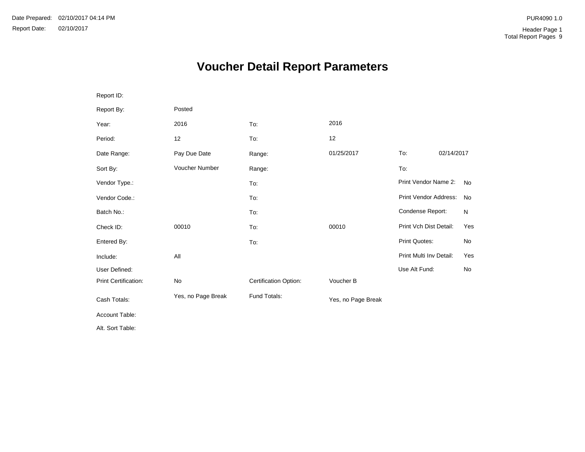# **Voucher Detail Report Parameters**

| Report ID:           |                    |                       |                    |                         |            |           |
|----------------------|--------------------|-----------------------|--------------------|-------------------------|------------|-----------|
| Report By:           | Posted             |                       |                    |                         |            |           |
| Year:                | 2016               | To:                   | 2016               |                         |            |           |
| Period:              | 12                 | To:                   | 12                 |                         |            |           |
| Date Range:          | Pay Due Date       | Range:                | 01/25/2017         | To:                     | 02/14/2017 |           |
| Sort By:             | Voucher Number     | Range:                |                    | To:                     |            |           |
| Vendor Type.:        |                    | To:                   |                    | Print Vendor Name 2:    |            | <b>No</b> |
| Vendor Code.:        |                    | To:                   |                    | Print Vendor Address:   |            | <b>No</b> |
| Batch No.:           |                    | To:                   |                    | Condense Report:        |            | N         |
| Check ID:            | 00010              | To:                   | 00010              | Print Vch Dist Detail:  |            | Yes       |
| Entered By:          |                    | To:                   |                    | Print Quotes:           |            | No        |
| Include:             | All                |                       |                    | Print Multi Inv Detail: |            | Yes       |
| User Defined:        |                    |                       |                    | Use Alt Fund:           |            | No        |
| Print Certification: | No                 | Certification Option: | Voucher B          |                         |            |           |
| Cash Totals:         | Yes, no Page Break | Fund Totals:          | Yes, no Page Break |                         |            |           |
| Account Table:       |                    |                       |                    |                         |            |           |
| Alt. Sort Table:     |                    |                       |                    |                         |            |           |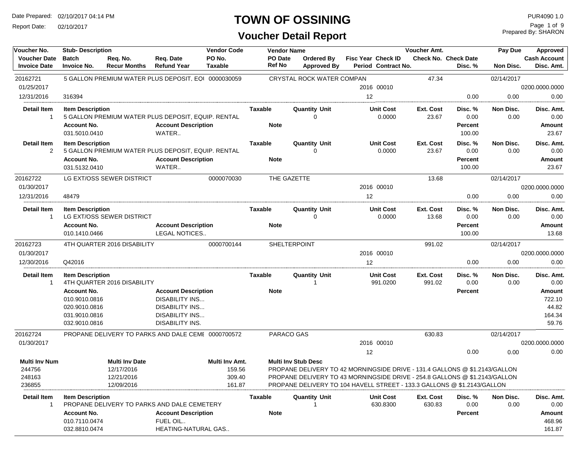Report Date: 02/10/2017

## **TOWN OF OSSINING**

| Voucher No.                                | <b>Stub-Description</b>             |                                                     |                                     | <b>Vendor Code</b>       | <b>Vendor Name</b>       |                                                                                                          |                   | Voucher Amt.                                     |                     |                                        |                      | Approved                          |  |
|--------------------------------------------|-------------------------------------|-----------------------------------------------------|-------------------------------------|--------------------------|--------------------------|----------------------------------------------------------------------------------------------------------|-------------------|--------------------------------------------------|---------------------|----------------------------------------|----------------------|-----------------------------------|--|
| <b>Voucher Date</b><br><b>Invoice Date</b> | <b>Batch</b><br><b>Invoice No.</b>  | Req. No.<br><b>Recur Months</b>                     | Req. Date<br><b>Refund Year</b>     | PO No.<br><b>Taxable</b> | PO Date<br><b>Ref No</b> | Ordered By<br><b>Approved By</b>                                                                         |                   | <b>Fisc Year Check ID</b><br>Period Contract No. |                     | <b>Check No. Check Date</b><br>Disc. % | Pay Due<br>Non Disc. | <b>Cash Account</b><br>Disc. Amt. |  |
| 20162721                                   |                                     | 5 GALLON PREMIUM WATER PLUS DEPOSIT, EQI 0000030059 |                                     |                          |                          | CRYSTAL ROCK WATER COMPAN                                                                                |                   |                                                  | 47.34               |                                        | 02/14/2017           |                                   |  |
| 01/25/2017                                 |                                     |                                                     |                                     |                          |                          |                                                                                                          |                   | 2016 00010                                       |                     |                                        |                      | 0200.0000.0000                    |  |
| 12/31/2016                                 | 316394                              |                                                     |                                     |                          |                          |                                                                                                          | $12 \overline{ }$ |                                                  |                     | 0.00                                   | 0.00                 | 0.00                              |  |
| <b>Detail Item</b><br>$\mathbf{1}$         | <b>Item Description</b>             | 5 GALLON PREMIUM WATER PLUS DEPOSIT, EQUIP. RENTAL  |                                     |                          | Taxable                  | <b>Quantity Unit</b><br>0                                                                                |                   | <b>Unit Cost</b><br>0.0000                       | Ext. Cost<br>23.67  | Disc. %<br>0.00                        | Non Disc.<br>0.00    | Disc. Amt.<br>0.00                |  |
|                                            | <b>Account No.</b><br>031.5010.0410 |                                                     | <b>Account Description</b><br>WATER |                          | <b>Note</b>              |                                                                                                          |                   |                                                  |                     | Percent<br>100.00                      |                      | Amount<br>23.67                   |  |
| <b>Detail Item</b><br>2                    | <b>Item Description</b>             | 5 GALLON PREMIUM WATER PLUS DEPOSIT, EQUIP. RENTAL  |                                     |                          | <b>Taxable</b>           | <b>Quantity Unit</b><br>$\Omega$                                                                         |                   | <b>Unit Cost</b><br>0.0000                       | Ext. Cost<br>23.67  | Disc. %<br>0.00                        | Non Disc.<br>0.00    | Disc. Amt.<br>0.00                |  |
|                                            | <b>Account No.</b><br>031.5132.0410 |                                                     | <b>Account Description</b><br>WATER |                          | <b>Note</b>              |                                                                                                          |                   |                                                  |                     | Percent<br>100.00                      |                      | Amount<br>23.67                   |  |
| 20162722                                   |                                     | LG EXT/OSS SEWER DISTRICT                           |                                     | 0000070030               |                          | THE GAZETTE                                                                                              |                   |                                                  | 13.68               |                                        | 02/14/2017           |                                   |  |
| 01/30/2017                                 |                                     |                                                     |                                     |                          |                          |                                                                                                          |                   | 2016 00010                                       |                     |                                        |                      | 0200.0000.0000                    |  |
| 12/31/2016                                 | 48479                               |                                                     |                                     |                          |                          |                                                                                                          | 12                |                                                  |                     | 0.00                                   | 0.00                 | 0.00                              |  |
| <b>Detail Item</b><br>$\mathbf{1}$         | <b>Item Description</b>             | LG EXT/OSS SEWER DISTRICT                           |                                     |                          | Taxable                  | <b>Quantity Unit</b><br>$\Omega$                                                                         |                   | <b>Unit Cost</b><br>0.0000                       | Ext. Cost<br>13.68  | Disc. %<br>0.00                        | Non Disc.<br>0.00    | Disc. Amt.<br>0.00                |  |
|                                            | <b>Account No.</b>                  |                                                     | <b>Account Description</b>          |                          | <b>Note</b>              |                                                                                                          |                   |                                                  |                     | Percent                                |                      | Amount                            |  |
|                                            | 010.1410.0466                       |                                                     | <b>LEGAL NOTICES</b>                |                          |                          |                                                                                                          |                   |                                                  |                     | 100.00                                 |                      | 13.68                             |  |
| 20162723                                   |                                     | 4TH QUARTER 2016 DISABILITY                         |                                     | 0000700144               |                          | SHELTERPOINT                                                                                             |                   |                                                  | 991.02              |                                        | 02/14/2017           |                                   |  |
| 01/30/2017                                 |                                     |                                                     |                                     |                          |                          |                                                                                                          |                   | 2016 00010                                       |                     |                                        |                      | 0200.0000.0000                    |  |
| 12/30/2016                                 | Q42016                              |                                                     |                                     |                          |                          |                                                                                                          | 12                |                                                  |                     | 0.00                                   | 0.00                 | 0.00                              |  |
| <b>Detail Item</b><br>$\mathbf{1}$         | <b>Item Description</b>             | 4TH QUARTER 2016 DISABILITY                         |                                     |                          | Taxable                  | <b>Quantity Unit</b><br>-1                                                                               |                   | <b>Unit Cost</b><br>991.0200                     | Ext. Cost<br>991.02 | Disc. %<br>0.00                        | Non Disc.<br>0.00    | Disc. Amt.<br>0.00                |  |
|                                            | <b>Account No.</b>                  |                                                     | <b>Account Description</b>          |                          | <b>Note</b>              |                                                                                                          |                   |                                                  |                     | Percent                                |                      | Amount                            |  |
|                                            | 010.9010.0816                       |                                                     | <b>DISABILITY INS</b>               |                          |                          |                                                                                                          |                   |                                                  |                     |                                        |                      | 722.10                            |  |
|                                            | 020.9010.0816                       |                                                     | <b>DISABILITY INS</b>               |                          |                          |                                                                                                          |                   |                                                  |                     |                                        |                      | 44.82                             |  |
|                                            | 031.9010.0816                       |                                                     | <b>DISABILITY INS</b>               |                          |                          |                                                                                                          |                   |                                                  |                     |                                        |                      | 164.34                            |  |
|                                            | 032.9010.0816                       |                                                     | DISABILITY INS.                     |                          |                          |                                                                                                          |                   |                                                  |                     |                                        |                      | 59.76                             |  |
| 20162724                                   |                                     | PROPANE DELIVERY TO PARKS AND DALE CEME 0000700572  |                                     |                          |                          | PARACO GAS                                                                                               |                   |                                                  | 630.83              |                                        | 02/14/2017           |                                   |  |
| 01/30/2017                                 |                                     |                                                     |                                     |                          |                          |                                                                                                          |                   | 2016 00010                                       |                     |                                        |                      | 0200.0000.0000                    |  |
|                                            |                                     |                                                     |                                     |                          |                          |                                                                                                          | 12                |                                                  |                     | 0.00                                   | 0.00                 | 0.00                              |  |
| <b>Multi Inv Num</b><br>244756             |                                     | <b>Multi Inv Date</b><br>12/17/2016                 |                                     | Multi Inv Amt.<br>159.56 |                          | <b>Multi Inv Stub Desc</b><br>PROPANE DELIVERY TO 42 MORNINGSIDE DRIVE - 131.4 GALLONS @ \$1.2143/GALLON |                   |                                                  |                     |                                        |                      |                                   |  |
| 248163                                     |                                     | 12/21/2016                                          |                                     | 309.40                   |                          | PROPANE DELIVERY TO 43 MORNINGSIDE DRIVE - 254.8 GALLONS @ \$1.2143/GALLON                               |                   |                                                  |                     |                                        |                      |                                   |  |
| 236855                                     |                                     | 12/09/2016                                          |                                     | 161.87                   |                          | PROPANE DELIVERY TO 104 HAVELL STREET - 133.3 GALLONS @ \$1.2143/GALLON                                  |                   |                                                  |                     |                                        |                      |                                   |  |
| <b>Detail Item</b>                         | <b>Item Description</b>             |                                                     |                                     |                          | <b>Taxable</b>           | <b>Quantity Unit</b>                                                                                     |                   | <b>Unit Cost</b>                                 | Ext. Cost           | Disc. %                                | Non Disc.            | Disc. Amt.                        |  |
| $\mathbf{1}$                               |                                     | PROPANE DELIVERY TO PARKS AND DALE CEMETERY         |                                     |                          |                          |                                                                                                          |                   | 630.8300                                         | 630.83              | 0.00                                   | 0.00                 | 0.00                              |  |
|                                            | <b>Account No.</b>                  |                                                     | <b>Account Description</b>          |                          | <b>Note</b>              |                                                                                                          |                   |                                                  |                     | Percent                                |                      | <b>Amount</b>                     |  |
|                                            | 010.7110.0474                       |                                                     | FUEL OIL                            |                          |                          |                                                                                                          |                   |                                                  |                     |                                        |                      | 468.96                            |  |
|                                            | 032.8810.0474                       |                                                     | HEATING-NATURAL GAS                 |                          |                          |                                                                                                          |                   |                                                  |                     |                                        |                      | 161.87                            |  |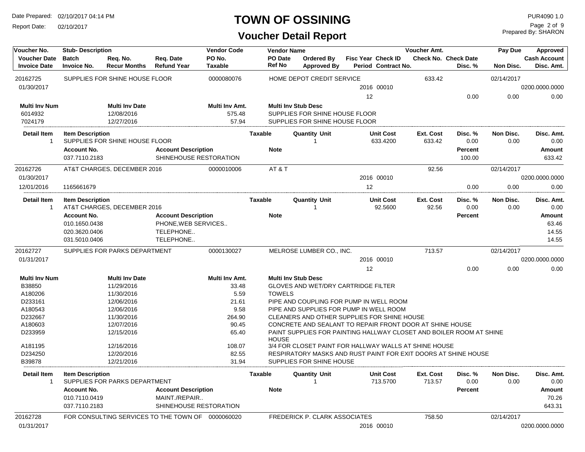Report Date: 02/10/2017

## **TOWN OF OSSINING**

| Voucher No.                                | <b>Stub-Description</b>                                               |                                 |                                                                             | <b>Vendor Code</b>       |                   | <b>Vendor Name</b>                                                  |    |                                                  | Voucher Amt.                |                          | Pay Due           | Approved                          |
|--------------------------------------------|-----------------------------------------------------------------------|---------------------------------|-----------------------------------------------------------------------------|--------------------------|-------------------|---------------------------------------------------------------------|----|--------------------------------------------------|-----------------------------|--------------------------|-------------------|-----------------------------------|
| <b>Voucher Date</b><br><b>Invoice Date</b> | <b>Batch</b><br><b>Invoice No.</b>                                    | Req. No.<br><b>Recur Months</b> | Req. Date<br><b>Refund Year</b>                                             | PO No.<br><b>Taxable</b> | PO Date<br>Ref No | <b>Ordered By</b><br><b>Approved By</b>                             |    | <b>Fisc Year Check ID</b><br>Period Contract No. | <b>Check No. Check Date</b> | Disc. %                  | Non Disc.         | <b>Cash Account</b><br>Disc. Amt. |
| 20162725                                   |                                                                       | SUPPLIES FOR SHINE HOUSE FLOOR  |                                                                             | 0000080076               |                   | HOME DEPOT CREDIT SERVICE                                           |    |                                                  | 633.42                      |                          | 02/14/2017        |                                   |
| 01/30/2017                                 |                                                                       |                                 |                                                                             |                          |                   |                                                                     |    | 2016 00010                                       |                             |                          |                   | 0200.0000.0000                    |
|                                            |                                                                       |                                 |                                                                             |                          |                   |                                                                     | 12 |                                                  |                             | 0.00                     | 0.00              | 0.00                              |
| <b>Multi Inv Num</b>                       |                                                                       | <b>Multi Inv Date</b>           |                                                                             | Multi Inv Amt.           |                   | <b>Multi Inv Stub Desc</b>                                          |    |                                                  |                             |                          |                   |                                   |
| 6014932                                    |                                                                       | 12/08/2016                      |                                                                             | 575.48                   |                   | SUPPLIES FOR SHINE HOUSE FLOOR                                      |    |                                                  |                             |                          |                   |                                   |
| 7024179                                    |                                                                       | 12/27/2016                      |                                                                             | 57.94                    |                   | SUPPLIES FOR SHINE HOUSE FLOOR                                      |    |                                                  |                             |                          |                   |                                   |
| <b>Detail Item</b><br>1                    | <b>Item Description</b>                                               | SUPPLIES FOR SHINE HOUSE FLOOR  |                                                                             |                          | Taxable           | <b>Quantity Unit</b><br>-1                                          |    | <b>Unit Cost</b><br>633.4200                     | Ext. Cost<br>633.42         | Disc. %<br>0.00          | Non Disc.<br>0.00 | Disc. Amt.<br>0.00                |
|                                            | <b>Account No.</b><br>037.7110.2183                                   |                                 | <b>Account Description</b><br>SHINEHOUSE RESTORATION                        |                          | <b>Note</b>       |                                                                     |    |                                                  |                             | <b>Percent</b><br>100.00 |                   | Amount<br>633.42                  |
| 20162726                                   |                                                                       | AT&T CHARGES, DECEMBER 2016     |                                                                             | 0000010006               | AT&T              |                                                                     |    |                                                  | 92.56                       |                          | 02/14/2017        |                                   |
| 01/30/2017                                 |                                                                       |                                 |                                                                             |                          |                   |                                                                     |    | 2016 00010                                       |                             |                          |                   | 0200.0000.0000                    |
| 12/01/2016                                 | 1165661679                                                            |                                 |                                                                             |                          |                   |                                                                     | 12 |                                                  |                             | 0.00                     | 0.00              | 0.00                              |
| <b>Detail Item</b><br>$\mathbf{1}$         | <b>Item Description</b>                                               | AT&T CHARGES, DECEMBER 2016     |                                                                             |                          | Taxable           | <b>Quantity Unit</b><br>-1                                          |    | Unit Cost<br>92.5600                             | Ext. Cost<br>92.56          | Disc. %<br>0.00          | Non Disc.<br>0.00 | Disc. Amt.<br>0.00                |
|                                            | <b>Account No.</b><br>010.1650.0438<br>020.3620.0406<br>031.5010.0406 |                                 | <b>Account Description</b><br>PHONE, WEB SERVICES<br>TELEPHONE<br>TELEPHONE |                          | <b>Note</b>       |                                                                     |    |                                                  |                             | <b>Percent</b>           |                   | Amount<br>63.46<br>14.55<br>14.55 |
| 20162727                                   |                                                                       | SUPPLIES FOR PARKS DEPARTMENT   |                                                                             | 0000130027               |                   | MELROSE LUMBER CO., INC.                                            |    |                                                  | 713.57                      |                          | 02/14/2017        |                                   |
| 01/31/2017                                 |                                                                       |                                 |                                                                             |                          |                   |                                                                     |    | 2016 00010                                       |                             |                          |                   | 0200.0000.0000                    |
|                                            |                                                                       |                                 |                                                                             |                          |                   |                                                                     | 12 |                                                  |                             | 0.00                     | 0.00              | 0.00                              |
| <b>Multi Inv Num</b>                       |                                                                       | <b>Multi Inv Date</b>           |                                                                             | Multi Inv Amt.           |                   | <b>Multi Inv Stub Desc</b>                                          |    |                                                  |                             |                          |                   |                                   |
| B38850                                     |                                                                       | 11/29/2016                      |                                                                             | 33.48                    |                   | <b>GLOVES AND WET/DRY CARTRIDGE FILTER</b>                          |    |                                                  |                             |                          |                   |                                   |
| A180206                                    |                                                                       | 11/30/2016                      |                                                                             | 5.59                     | <b>TOWELS</b>     |                                                                     |    |                                                  |                             |                          |                   |                                   |
| D233161                                    |                                                                       | 12/06/2016                      |                                                                             | 21.61                    |                   | PIPE AND COUPLING FOR PUMP IN WELL ROOM                             |    |                                                  |                             |                          |                   |                                   |
| A180543                                    |                                                                       | 12/06/2016                      |                                                                             | 9.58                     |                   | PIPE AND SUPPLIES FOR PUMP IN WELL ROOM                             |    |                                                  |                             |                          |                   |                                   |
| D232667                                    |                                                                       | 11/30/2016                      |                                                                             | 264.90                   |                   | CLEANERS AND OTHER SUPPLIES FOR SHINE HOUSE                         |    |                                                  |                             |                          |                   |                                   |
| A180603                                    |                                                                       | 12/07/2016                      |                                                                             | 90.45                    |                   | CONCRETE AND SEALANT TO REPAIR FRONT DOOR AT SHINE HOUSE            |    |                                                  |                             |                          |                   |                                   |
| D233959                                    |                                                                       | 12/15/2016                      |                                                                             | 65.40                    | <b>HOUSE</b>      | PAINT SUPPLIES FOR PAINTING HALLWAY CLOSET AND BOILER ROOM AT SHINE |    |                                                  |                             |                          |                   |                                   |
| A181195                                    |                                                                       | 12/16/2016                      |                                                                             | 108.07                   |                   | 3/4 FOR CLOSET PAINT FOR HALLWAY WALLS AT SHINE HOUSE               |    |                                                  |                             |                          |                   |                                   |
| D234250                                    |                                                                       | 12/20/2016                      |                                                                             | 82.55                    |                   | RESPIRATORY MASKS AND RUST PAINT FOR EXIT DOORS AT SHINE HOUSE      |    |                                                  |                             |                          |                   |                                   |
| B39878                                     |                                                                       | 12/21/2016                      |                                                                             | 31.94                    |                   | SUPPLIES FOR SHINE HOUSE                                            |    |                                                  |                             |                          |                   |                                   |
| Detail Item                                | <b>Item Description</b>                                               | SUPPLIES FOR PARKS DEPARTMENT   |                                                                             |                          | Taxable           | <b>Quantity Unit</b>                                                |    | <b>Unit Cost</b><br>713.5700                     | Ext. Cost<br>713.57         | Disc. %<br>0.00          | Non Disc.<br>0.00 | Disc. Amt.<br>0.00                |
|                                            | <b>Account No.</b>                                                    |                                 | <b>Account Description</b>                                                  |                          | <b>Note</b>       |                                                                     |    |                                                  |                             | Percent                  |                   | Amount                            |
|                                            | 010.7110.0419<br>037.7110.2183                                        |                                 | MAINT./REPAIR<br>SHINEHOUSE RESTORATION                                     |                          |                   |                                                                     |    |                                                  |                             |                          |                   | 70.26<br>643.31                   |
| 20162728                                   |                                                                       |                                 | FOR CONSULTING SERVICES TO THE TOWN OF 0000060020                           |                          |                   | FREDERICK P. CLARK ASSOCIATES                                       |    |                                                  | 758.50                      |                          | 02/14/2017        |                                   |
| 01/31/2017                                 |                                                                       |                                 |                                                                             |                          |                   |                                                                     |    | 2016 00010                                       |                             |                          |                   | 0200.0000.0000                    |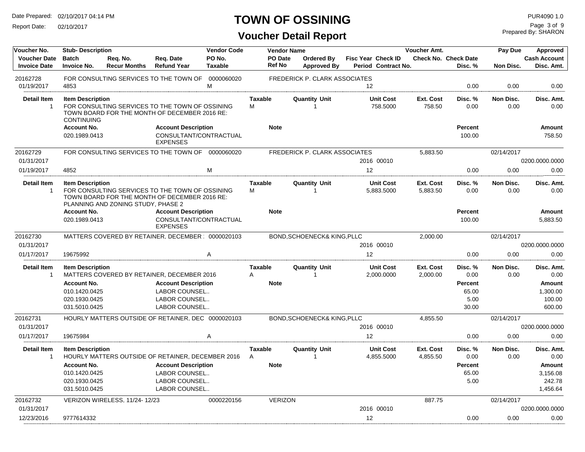Report Date: 02/10/2017

## **TOWN OF OSSINING**

**Voucher Detail Report**

Prepared By: SHARON Page 3 of 9

| Voucher No.                                | <b>Vendor Code</b><br>Voucher Amt.<br><b>Stub-Description</b><br><b>Vendor Name</b> |                                    |                                                                                                  |                          |                         |                          | Pay Due                                 | Approved                                         |                              |                                        |                   |                                        |
|--------------------------------------------|-------------------------------------------------------------------------------------|------------------------------------|--------------------------------------------------------------------------------------------------|--------------------------|-------------------------|--------------------------|-----------------------------------------|--------------------------------------------------|------------------------------|----------------------------------------|-------------------|----------------------------------------|
| <b>Voucher Date</b><br><b>Invoice Date</b> | <b>Batch</b><br><b>Invoice No.</b>                                                  | Req. No.<br><b>Recur Months</b>    | Req. Date<br><b>Refund Year</b>                                                                  | PO No.<br><b>Taxable</b> |                         | PO Date<br><b>Ref No</b> | <b>Ordered By</b><br><b>Approved By</b> | <b>Fisc Year Check ID</b><br>Period Contract No. |                              | <b>Check No. Check Date</b><br>Disc. % | Non Disc.         | <b>Cash Account</b><br>Disc. Amt.      |
| 20162728<br>01/19/2017                     | 4853                                                                                |                                    | FOR CONSULTING SERVICES TO THE TOWN OF                                                           | 0000060020<br>M          |                         |                          | FREDERICK P. CLARK ASSOCIATES           | $12 \overline{ }$                                |                              | 0.00                                   | 0.00              | 0.00                                   |
| <b>Detail Item</b><br>$\overline{1}$       | <b>Item Description</b><br><b>CONTINUING</b>                                        |                                    | FOR CONSULTING SERVICES TO THE TOWN OF OSSINING<br>TOWN BOARD FOR THE MONTH OF DECEMBER 2016 RE: |                          | <b>Taxable</b><br>M     |                          | <b>Quantity Unit</b><br>$\mathbf{1}$    | <b>Unit Cost</b><br>758.5000                     | Ext. Cost<br>758.50          | Disc. %<br>0.00                        | Non Disc.<br>0.00 | Disc. Amt.<br>0.00                     |
|                                            | <b>Account No.</b><br>020.1989.0413                                                 |                                    | <b>Account Description</b><br>CONSULTANT/CONTRACTUAL<br><b>EXPENSES</b>                          |                          |                         | <b>Note</b>              |                                         |                                                  |                              | <b>Percent</b><br>100.00               |                   | Amount<br>758.50                       |
| 20162729                                   |                                                                                     |                                    | FOR CONSULTING SERVICES TO THE TOWN OF 0000060020                                                |                          |                         |                          | FREDERICK P. CLARK ASSOCIATES           |                                                  | 5,883.50                     |                                        | 02/14/2017        |                                        |
| 01/31/2017                                 |                                                                                     |                                    |                                                                                                  |                          |                         |                          |                                         | 2016 00010                                       |                              |                                        |                   | 0200.0000.0000                         |
| 01/19/2017                                 | 4852                                                                                |                                    |                                                                                                  | M                        |                         |                          |                                         | 12                                               |                              | 0.00                                   | 0.00              | 0.00                                   |
| <b>Detail Item</b><br>-1                   | <b>Item Description</b>                                                             | PLANNING AND ZONING STUDY, PHASE 2 | FOR CONSULTING SERVICES TO THE TOWN OF OSSINING<br>TOWN BOARD FOR THE MONTH OF DECEMBER 2016 RE: |                          | <b>Taxable</b><br>M     |                          | <b>Quantity Unit</b><br>$\mathbf{1}$    | <b>Unit Cost</b><br>5,883.5000                   | <b>Ext. Cost</b><br>5,883.50 | Disc. %<br>0.00                        | Non Disc.<br>0.00 | Disc. Amt.<br>0.00                     |
|                                            | <b>Account No.</b><br>020.1989.0413                                                 |                                    | <b>Account Description</b><br>CONSULTANT/CONTRACTUAL<br><b>EXPENSES</b>                          |                          |                         | <b>Note</b>              |                                         |                                                  |                              | Percent<br>100.00                      |                   | Amount<br>5,883.50                     |
| 20162730                                   |                                                                                     |                                    | MATTERS COVERED BY RETAINER, DECEMBER : 0000020103                                               |                          |                         |                          | BOND, SCHOENECK& KING, PLLC             |                                                  | 2,000.00                     |                                        | 02/14/2017        |                                        |
| 01/31/2017                                 |                                                                                     |                                    |                                                                                                  |                          |                         |                          |                                         | 2016 00010                                       |                              |                                        |                   | 0200.0000.0000                         |
| 01/17/2017                                 | 19675992                                                                            |                                    |                                                                                                  | A                        |                         |                          |                                         | 12                                               |                              | 0.00                                   | 0.00              | 0.00                                   |
| <b>Detail Item</b><br>$\overline{1}$       | <b>Item Description</b>                                                             |                                    | MATTERS COVERED BY RETAINER, DECEMBER 2016                                                       |                          | Taxable<br>A            |                          | <b>Quantity Unit</b>                    | <b>Unit Cost</b><br>2,000.0000                   | Ext. Cost<br>2,000.00        | Disc. %<br>0.00                        | Non Disc.<br>0.00 | Disc. Amt.<br>0.00                     |
|                                            | <b>Account No.</b><br>010.1420.0425<br>020.1930.0425<br>031.5010.0425               |                                    | <b>Account Description</b><br>LABOR COUNSEL<br>LABOR COUNSEL<br>LABOR COUNSEL                    |                          |                         | <b>Note</b>              |                                         |                                                  |                              | Percent<br>65.00<br>5.00<br>30.00      |                   | Amount<br>1,300.00<br>100.00<br>600.00 |
| 20162731                                   |                                                                                     |                                    | HOURLY MATTERS OUTSIDE OF RETAINER, DEC 0000020103                                               |                          |                         |                          | BOND, SCHOENECK& KING, PLLC             |                                                  | 4.855.50                     |                                        | 02/14/2017        |                                        |
| 01/31/2017                                 |                                                                                     |                                    |                                                                                                  |                          |                         |                          |                                         | 2016 00010                                       |                              |                                        |                   | 0200.0000.0000                         |
| 01/17/2017                                 | 19675984                                                                            |                                    |                                                                                                  | A                        |                         |                          |                                         | 12                                               |                              | 0.00                                   | 0.00              | 0.00                                   |
| <b>Detail Item</b><br>-1                   | <b>Item Description</b><br><b>Account No.</b>                                       |                                    | HOURLY MATTERS OUTSIDE OF RETAINER, DECEMBER 2016<br><b>Account Description</b>                  |                          | Taxable<br>$\mathsf{A}$ | <b>Note</b>              | <b>Quantity Unit</b><br>$\overline{1}$  | <b>Unit Cost</b><br>4,855.5000                   | Ext. Cost<br>4,855.50        | Disc. %<br>0.00<br><b>Percent</b>      | Non Disc.<br>0.00 | Disc. Amt.<br>0.00<br>Amount           |
|                                            | 010.1420.0425                                                                       |                                    | LABOR COUNSEL                                                                                    |                          |                         |                          |                                         |                                                  |                              | 65.00                                  |                   | 3,156.08                               |
|                                            | 020.1930.0425<br>031.5010.0425                                                      |                                    | LABOR COUNSEL<br>LABOR COUNSEL                                                                   |                          |                         |                          |                                         |                                                  |                              | 5.00                                   |                   | 242.78<br>1,456.64                     |
| 20162732                                   |                                                                                     | VERIZON WIRELESS. 11/24-12/23      |                                                                                                  | 0000220156               |                         | <b>VERIZON</b>           |                                         |                                                  | 887.75                       |                                        | 02/14/2017        |                                        |
| 01/31/2017                                 |                                                                                     |                                    |                                                                                                  |                          |                         |                          |                                         | 2016 00010                                       |                              |                                        |                   | 0200.0000.0000                         |
| 12/23/2016                                 | 9777614332                                                                          |                                    |                                                                                                  |                          |                         |                          |                                         | 12                                               |                              | 0.00                                   | 0.00              | 0.00                                   |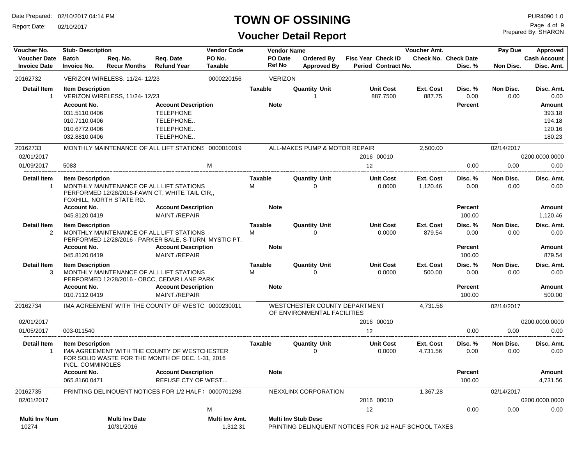Report Date: 02/10/2017

## **TOWN OF OSSINING**

## **Voucher Detail Report**

Prepared By: SHARON Page 4 of 9

| Voucher No.                        | <b>Stub-Description</b>                     |                               |                                                                                                  | <b>Vendor Code</b> |                | Voucher Amt.<br><b>Vendor Name</b> |                                                              |                                                       |                       |                          | Pay Due           | Approved            |
|------------------------------------|---------------------------------------------|-------------------------------|--------------------------------------------------------------------------------------------------|--------------------|----------------|------------------------------------|--------------------------------------------------------------|-------------------------------------------------------|-----------------------|--------------------------|-------------------|---------------------|
| <b>Voucher Date</b>                | <b>Batch</b>                                | Req. No.                      | Req. Date                                                                                        | PO No.             |                | PO Date                            | <b>Ordered By</b>                                            | <b>Fisc Year Check ID</b>                             |                       | Check No. Check Date     |                   | <b>Cash Account</b> |
| <b>Invoice Date</b>                | <b>Invoice No.</b>                          | <b>Recur Months</b>           | <b>Refund Year</b>                                                                               | <b>Taxable</b>     |                | <b>Ref No</b>                      | <b>Approved By</b>                                           | Period Contract No.                                   |                       | Disc. %                  | Non Disc.         | Disc. Amt.          |
| 20162732                           |                                             | VERIZON WIRELESS, 11/24-12/23 |                                                                                                  | 0000220156         |                | <b>VERIZON</b>                     |                                                              |                                                       |                       |                          |                   |                     |
| <b>Detail Item</b><br>$\mathbf{1}$ | <b>Item Description</b>                     |                               |                                                                                                  |                    | <b>Taxable</b> |                                    | <b>Quantity Unit</b><br>-1                                   | <b>Unit Cost</b><br>887.7500                          | Ext. Cost<br>887.75   | Disc. %                  | Non Disc.<br>0.00 | Disc. Amt.<br>0.00  |
|                                    | <b>Account No.</b>                          | VERIZON WIRELESS, 11/24-12/23 | <b>Account Description</b>                                                                       |                    | <b>Note</b>    |                                    |                                                              |                                                       |                       | 0.00<br><b>Percent</b>   |                   | Amount              |
|                                    | 031.5110.0406                               |                               | <b>TELEPHONE</b>                                                                                 |                    |                |                                    |                                                              |                                                       |                       |                          |                   | 393.18              |
|                                    | 010.7110.0406                               |                               | TELEPHONE                                                                                        |                    |                |                                    |                                                              |                                                       |                       |                          |                   | 194.18              |
|                                    | 010.6772.0406                               |                               | TELEPHONE                                                                                        |                    |                |                                    |                                                              |                                                       |                       |                          |                   | 120.16              |
|                                    | 032.8810.0406                               |                               | TELEPHONE                                                                                        |                    |                |                                    |                                                              |                                                       |                       |                          |                   | 180.23              |
| 20162733                           |                                             |                               | MONTHLY MAINTENANCE OF ALL LIFT STATIONS 0000010019                                              |                    |                |                                    | ALL-MAKES PUMP & MOTOR REPAIR                                |                                                       | 2,500.00              |                          | 02/14/2017        |                     |
| 02/01/2017                         |                                             |                               |                                                                                                  |                    |                |                                    |                                                              | 2016 00010                                            |                       |                          |                   | 0200.0000.0000      |
| 01/09/2017                         | 5083                                        |                               |                                                                                                  | M                  |                |                                    |                                                              | 12                                                    |                       | 0.00                     | 0.00              | 0.00                |
| <b>Detail Item</b>                 | <b>Item Description</b>                     |                               |                                                                                                  |                    | Taxable        |                                    | <b>Quantity Unit</b>                                         | <b>Unit Cost</b>                                      | <b>Ext. Cost</b>      | Disc. %                  | Non Disc.         | Disc. Amt.          |
| $\mathbf 1$                        |                                             | FOXHILL, NORTH STATE RD.      | MONTHLY MAINTENANCE OF ALL LIFT STATIONS<br>PERFORMED 12/28/2016-FAWN CT, WHITE TAIL CIR,        |                    | M              |                                    | $\Omega$                                                     | 0.0000                                                | 1,120.46              | 0.00                     | 0.00              | 0.00                |
|                                    | <b>Account No.</b><br>045.8120.0419         |                               | <b>Account Description</b><br>MAINT./REPAIR                                                      |                    | <b>Note</b>    |                                    |                                                              |                                                       |                       | <b>Percent</b><br>100.00 |                   | Amount<br>1,120.46  |
| <b>Detail Item</b>                 | <b>Item Description</b>                     |                               |                                                                                                  |                    | <b>Taxable</b> |                                    | <b>Quantity Unit</b>                                         | <b>Unit Cost</b>                                      | <b>Ext. Cost</b>      | Disc. %                  | Non Disc.         | Disc. Amt.          |
| $\overline{2}$                     |                                             |                               | MONTHLY MAINTENANCE OF ALL LIFT STATIONS                                                         |                    | M              |                                    | $\Omega$                                                     | 0.0000                                                | 879.54                | 0.00                     | 0.00              | 0.00                |
|                                    | <b>Account No.</b>                          |                               | PERFORMED 12/28/2016 - PARKER BALE, S-TURN, MYSTIC PT.<br><b>Account Description</b>             |                    | <b>Note</b>    |                                    |                                                              |                                                       |                       | <b>Percent</b>           |                   | <b>Amount</b>       |
|                                    | 045.8120.0419                               |                               | MAINT./REPAIR                                                                                    |                    |                |                                    |                                                              |                                                       |                       | 100.00                   |                   | 879.54              |
| <b>Detail Item</b>                 | <b>Item Description</b>                     |                               |                                                                                                  |                    | <b>Taxable</b> |                                    | <b>Quantity Unit</b>                                         | <b>Unit Cost</b>                                      | Ext. Cost             | Disc. %                  | Non Disc.         | Disc. Amt.          |
| 3                                  |                                             |                               | MONTHLY MAINTENANCE OF ALL LIFT STATIONS<br>PERFORMED 12/28/2016 - OBCC, CEDAR LANE PARK         |                    | м              |                                    | $\Omega$                                                     | 0.0000                                                | 500.00                | 0.00                     | 0.00              | 0.00                |
|                                    | <b>Account No.</b>                          |                               | <b>Account Description</b>                                                                       |                    | <b>Note</b>    |                                    |                                                              |                                                       |                       | <b>Percent</b>           |                   | Amount              |
|                                    | 010.7112.0419                               |                               | MAINT./REPAIR                                                                                    |                    |                |                                    |                                                              |                                                       |                       | 100.00                   |                   | 500.00              |
| 20162734                           |                                             |                               | IMA AGREEMENT WITH THE COUNTY OF WESTC 0000230011                                                |                    |                |                                    | WESTCHESTER COUNTY DEPARTMENT<br>OF ENVIRONMENTAL FACILITIES |                                                       | 4,731.56              |                          | 02/14/2017        |                     |
| 02/01/2017                         |                                             |                               |                                                                                                  |                    |                |                                    |                                                              | 2016 00010                                            |                       |                          |                   | 0200.0000.0000      |
| 01/05/2017                         | 003-011540                                  |                               |                                                                                                  |                    |                |                                    |                                                              | 12                                                    |                       | 0.00                     | 0.00              | 0.00                |
| <b>Detail Item</b><br>$\mathbf 1$  | <b>Item Description</b><br>INCL. COMMINGLES |                               | IMA AGREEMENT WITH THE COUNTY OF WESTCHESTER<br>FOR SOLID WASTE FOR THE MONTH OF DEC. 1-31, 2016 |                    | Taxable        |                                    | <b>Quantity Unit</b><br>$\Omega$                             | <b>Unit Cost</b><br>0.0000                            | Ext. Cost<br>4,731.56 | Disc. %<br>0.00          | Non Disc.<br>0.00 | Disc. Amt.<br>0.00  |
|                                    | <b>Account No.</b><br>065.8160.0471         |                               | <b>Account Description</b><br><b>REFUSE CTY OF WEST</b>                                          |                    | <b>Note</b>    |                                    |                                                              |                                                       |                       | <b>Percent</b><br>100.00 |                   | Amount<br>4,731.56  |
| 20162735                           |                                             |                               | PRINTING DELINQUENT NOTICES FOR 1/2 HALF ( 0000701298                                            |                    |                |                                    | NEXXLINX CORPORATION                                         |                                                       | 1,367.28              |                          | 02/14/2017        |                     |
| 02/01/2017                         |                                             |                               |                                                                                                  |                    |                |                                    |                                                              | 2016 00010                                            |                       |                          |                   | 0200.0000.0000      |
|                                    |                                             |                               |                                                                                                  | M                  |                |                                    |                                                              | 12                                                    |                       | 0.00                     | 0.00              | 0.00                |
| <b>Multi Inv Num</b>               |                                             | <b>Multi Inv Date</b>         |                                                                                                  | Multi Inv Amt.     |                |                                    | <b>Multi Inv Stub Desc</b>                                   |                                                       |                       |                          |                   |                     |
| 10274                              |                                             | 10/31/2016                    |                                                                                                  | 1,312.31           |                |                                    |                                                              | PRINTING DELINQUENT NOTICES FOR 1/2 HALF SCHOOL TAXES |                       |                          |                   |                     |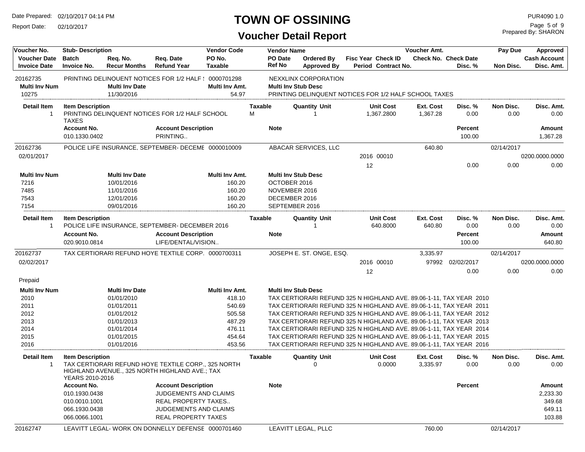Report Date: 02/10/2017

## **TOWN OF OSSINING**

Prepared By: SHARON Page 5 of 9

| Voucher No.                                | <b>Stub-Description</b>                    |                                     |                                                                                                       | <b>Vendor Code</b>       |                | <b>Vendor Name</b>              |                                                                                                             |    |                                           | Voucher Amt.          |                                 | Pay Due           | Approved                          |
|--------------------------------------------|--------------------------------------------|-------------------------------------|-------------------------------------------------------------------------------------------------------|--------------------------|----------------|---------------------------------|-------------------------------------------------------------------------------------------------------------|----|-------------------------------------------|-----------------------|---------------------------------|-------------------|-----------------------------------|
| <b>Voucher Date</b><br><b>Invoice Date</b> | <b>Batch</b><br><b>Invoice No.</b>         | Req. No.<br><b>Recur Months</b>     | Req. Date<br><b>Refund Year</b>                                                                       | PO No.<br><b>Taxable</b> |                | <b>PO Date</b><br><b>Ref No</b> | <b>Ordered By</b><br><b>Approved By</b>                                                                     |    | Fisc Year Check ID<br>Period Contract No. |                       | Check No. Check Date<br>Disc. % | Non Disc.         | <b>Cash Account</b><br>Disc. Amt. |
| 20162735<br><b>Multi Inv Num</b><br>10275  |                                            | <b>Multi Inv Date</b><br>11/30/2016 | PRINTING DELINQUENT NOTICES FOR 1/2 HALF ( 0000701298                                                 | Multi Inv Amt.<br>54.97  |                |                                 | NEXXLINX CORPORATION<br><b>Multi Inv Stub Desc</b><br>PRINTING DELINQUENT NOTICES FOR 1/2 HALF SCHOOL TAXES |    |                                           |                       |                                 |                   |                                   |
| <b>Detail Item</b>                         | <b>Item Description</b>                    |                                     |                                                                                                       |                          | Taxable        |                                 | <b>Quantity Unit</b>                                                                                        |    | <b>Unit Cost</b>                          | Ext. Cost             | Disc. %                         | Non Disc.         | Disc. Amt.                        |
| $\mathbf{1}$                               | <b>TAXES</b>                               |                                     | PRINTING DELINQUENT NOTICES FOR 1/2 HALF SCHOOL                                                       |                          | М              |                                 |                                                                                                             |    | 1,367.2800                                | 1,367.28              | 0.00                            | 0.00              | 0.00                              |
|                                            | <b>Account No.</b><br>010.1330.0402        |                                     | <b>Account Description</b><br>PRINTING                                                                |                          |                | <b>Note</b>                     |                                                                                                             |    |                                           |                       | <b>Percent</b><br>100.00        |                   | Amount<br>1,367.28                |
| 20162736                                   |                                            |                                     | POLICE LIFE INSURANCE, SEPTEMBER- DECEME 0000010009                                                   |                          |                |                                 | ABACAR SERVICES, LLC                                                                                        |    |                                           | 640.80                |                                 | 02/14/2017        |                                   |
| 02/01/2017                                 |                                            |                                     |                                                                                                       |                          |                |                                 |                                                                                                             |    | 2016 00010                                |                       |                                 |                   | 0200.0000.0000                    |
|                                            |                                            |                                     |                                                                                                       |                          |                |                                 |                                                                                                             | 12 |                                           |                       | 0.00                            | 0.00              | 0.00                              |
| <b>Multi Inv Num</b>                       |                                            | <b>Multi Inv Date</b>               |                                                                                                       | Multi Inv Amt.           |                |                                 | <b>Multi Inv Stub Desc</b>                                                                                  |    |                                           |                       |                                 |                   |                                   |
| 7216                                       |                                            | 10/01/2016                          |                                                                                                       | 160.20                   |                | OCTOBER 2016                    |                                                                                                             |    |                                           |                       |                                 |                   |                                   |
| 7485                                       |                                            | 11/01/2016                          |                                                                                                       | 160.20                   |                | NOVEMBER 2016                   |                                                                                                             |    |                                           |                       |                                 |                   |                                   |
| 7543                                       |                                            | 12/01/2016                          |                                                                                                       | 160.20                   |                | DECEMBER 2016                   |                                                                                                             |    |                                           |                       |                                 |                   |                                   |
| 7154                                       |                                            | 09/01/2016                          |                                                                                                       | 160.20                   |                |                                 | SEPTEMBER 2016                                                                                              |    |                                           |                       |                                 |                   |                                   |
| Detail Item<br>$\mathbf{1}$                | <b>Item Description</b>                    |                                     | POLICE LIFE INSURANCE, SEPTEMBER- DECEMBER 2016                                                       |                          | Taxable        |                                 | <b>Quantity Unit</b><br>-1                                                                                  |    | <b>Unit Cost</b><br>640.8000              | Ext. Cost<br>640.80   | Disc. %<br>0.00                 | Non Disc.<br>0.00 | Disc. Amt.<br>0.00                |
|                                            | <b>Account No.</b>                         |                                     | <b>Account Description</b>                                                                            |                          |                | <b>Note</b>                     |                                                                                                             |    |                                           |                       | <b>Percent</b>                  |                   | Amount                            |
|                                            | 020.9010.0814                              |                                     | LIFE/DENTAL/VISION                                                                                    |                          |                |                                 |                                                                                                             |    |                                           |                       | 100.00                          |                   | 640.80                            |
| 20162737                                   |                                            |                                     | TAX CERTIORARI REFUND HOYE TEXTILE CORP  0000700311                                                   |                          |                |                                 | JOSEPH E. ST. ONGE, ESQ.                                                                                    |    |                                           | 3,335.97              |                                 | 02/14/2017        |                                   |
| 02/02/2017                                 |                                            |                                     |                                                                                                       |                          |                |                                 |                                                                                                             |    | 2016 00010                                |                       | 97992 02/02/2017                |                   | 0200.0000.0000                    |
|                                            |                                            |                                     |                                                                                                       |                          |                |                                 |                                                                                                             | 12 |                                           |                       | 0.00                            | 0.00              | 0.00                              |
| Prepaid                                    |                                            |                                     |                                                                                                       |                          |                |                                 |                                                                                                             |    |                                           |                       |                                 |                   |                                   |
| <b>Multi Inv Num</b>                       |                                            | <b>Multi Inv Date</b>               |                                                                                                       | Multi Inv Amt.           |                |                                 | <b>Multi Inv Stub Desc</b>                                                                                  |    |                                           |                       |                                 |                   |                                   |
| 2010                                       |                                            | 01/01/2010                          |                                                                                                       | 418.10                   |                |                                 | TAX CERTIORARI REFUND 325 N HIGHLAND AVE. 89.06-1-11, TAX YEAR 2010                                         |    |                                           |                       |                                 |                   |                                   |
| 2011                                       |                                            | 01/01/2011                          |                                                                                                       | 540.69                   |                |                                 | TAX CERTIORARI REFUND 325 N HIGHLAND AVE. 89.06-1-11, TAX YEAR 2011                                         |    |                                           |                       |                                 |                   |                                   |
| 2012                                       |                                            | 01/01/2012                          |                                                                                                       | 505.58                   |                |                                 | TAX CERTIORARI REFUND 325 N HIGHLAND AVE. 89.06-1-11, TAX YEAR 2012                                         |    |                                           |                       |                                 |                   |                                   |
| 2013                                       |                                            | 01/01/2013                          |                                                                                                       | 487.29                   |                |                                 | TAX CERTIORARI REFUND 325 N HIGHLAND AVE. 89.06-1-11, TAX YEAR 2013                                         |    |                                           |                       |                                 |                   |                                   |
| 2014                                       |                                            | 01/01/2014                          |                                                                                                       | 476.11                   |                |                                 | TAX CERTIORARI REFUND 325 N HIGHLAND AVE. 89.06-1-11, TAX YEAR 2014                                         |    |                                           |                       |                                 |                   |                                   |
| 2015                                       |                                            | 01/01/2015                          |                                                                                                       | 454.64                   |                |                                 | TAX CERTIORARI REFUND 325 N HIGHLAND AVE. 89.06-1-11, TAX YEAR 2015                                         |    |                                           |                       |                                 |                   |                                   |
| 2016                                       |                                            | 01/01/2016                          |                                                                                                       | 453.56                   |                |                                 | TAX CERTIORARI REFUND 325 N HIGHLAND AVE. 89.06-1-11, TAX YEAR 2016                                         |    |                                           |                       |                                 |                   |                                   |
| <b>Detail Item</b><br>1                    | <b>Item Description</b><br>YEARS 2010-2016 |                                     | TAX CERTIORARI REFUND HOYE TEXTILE CORP., 325 NORTH<br>HIGHLAND AVENUE., 325 NORTH HIGHLAND AVE.; TAX |                          | <b>Taxable</b> |                                 | <b>Quantity Unit</b><br>0                                                                                   |    | <b>Unit Cost</b><br>0.0000                | Ext. Cost<br>3,335.97 | Disc. %<br>0.00                 | Non Disc.<br>0.00 | Disc. Amt.<br>0.00                |
|                                            | <b>Account No.</b>                         |                                     | <b>Account Description</b>                                                                            |                          |                | <b>Note</b>                     |                                                                                                             |    |                                           |                       | <b>Percent</b>                  |                   | Amount                            |
|                                            | 010.1930.0438                              |                                     | <b>JUDGEMENTS AND CLAIMS</b>                                                                          |                          |                |                                 |                                                                                                             |    |                                           |                       |                                 |                   | 2,233.30                          |
|                                            | 010.0010.1001                              |                                     | REAL PROPERTY TAXES                                                                                   |                          |                |                                 |                                                                                                             |    |                                           |                       |                                 |                   | 349.68                            |
|                                            | 066.1930.0438                              |                                     | JUDGEMENTS AND CLAIMS                                                                                 |                          |                |                                 |                                                                                                             |    |                                           |                       |                                 |                   | 649.11                            |
|                                            | 066.0066.1001                              |                                     | REAL PROPERTY TAXES                                                                                   |                          |                |                                 |                                                                                                             |    |                                           |                       |                                 |                   | 103.88                            |
| 20162747                                   |                                            |                                     | LEAVITT LEGAL-WORK ON DONNELLY DEFENSE 0000701460                                                     |                          |                |                                 | LEAVITT LEGAL, PLLC                                                                                         |    |                                           | 760.00                |                                 | 02/14/2017        |                                   |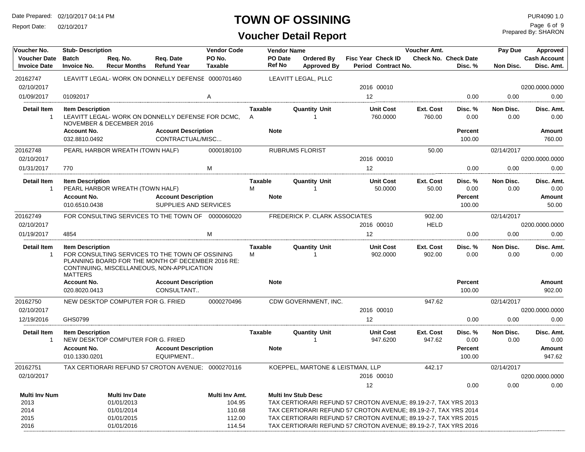Report Date: 02/10/2017

### **TOWN OF OSSINING**

| Voucher No.                                | <b>Stub-Description</b>                   |                                   |                                                                                                                                                    | <b>Vendor Code</b>       |                                | <b>Vendor Name</b>               |                                                                 | Voucher Amt.        |                                 | Pay Due           | Approved                          |
|--------------------------------------------|-------------------------------------------|-----------------------------------|----------------------------------------------------------------------------------------------------------------------------------------------------|--------------------------|--------------------------------|----------------------------------|-----------------------------------------------------------------|---------------------|---------------------------------|-------------------|-----------------------------------|
| <b>Voucher Date</b><br><b>Invoice Date</b> | <b>Batch</b><br><b>Invoice No.</b>        | Req. No.<br><b>Recur Months</b>   | Req. Date<br><b>Refund Year</b>                                                                                                                    | PO No.<br><b>Taxable</b> | PO Date<br><b>Ref No</b>       | Ordered By<br><b>Approved By</b> | Fisc Year Check ID<br>Period Contract No.                       |                     | Check No. Check Date<br>Disc. % | Non Disc.         | <b>Cash Account</b><br>Disc. Amt. |
|                                            |                                           |                                   |                                                                                                                                                    |                          |                                |                                  |                                                                 |                     |                                 |                   |                                   |
| 20162747                                   |                                           |                                   | LEAVITT LEGAL- WORK ON DONNELLY DEFENSE 0000701460                                                                                                 |                          |                                | LEAVITT LEGAL, PLLC              |                                                                 |                     |                                 |                   |                                   |
| 02/10/2017                                 |                                           |                                   |                                                                                                                                                    |                          |                                |                                  | 2016 00010                                                      |                     |                                 |                   | 0200.0000.0000                    |
| 01/09/2017                                 | 01092017                                  |                                   |                                                                                                                                                    | A                        |                                |                                  | 12                                                              |                     | 0.00                            | 0.00              | 0.00                              |
| <b>Detail Item</b><br>-1                   | <b>Item Description</b>                   | NOVEMBER & DECEMBER 2016          | LEAVITT LEGAL-WORK ON DONNELLY DEFENSE FOR DCMC.                                                                                                   |                          | <b>Taxable</b><br>$\mathsf{A}$ | <b>Quantity Unit</b><br>1        | <b>Unit Cost</b><br>760.0000                                    | Ext. Cost<br>760.00 | Disc.%<br>0.00                  | Non Disc.<br>0.00 | Disc. Amt.<br>0.00                |
|                                            | <b>Account No.</b>                        |                                   | <b>Account Description</b>                                                                                                                         |                          | <b>Note</b>                    |                                  |                                                                 |                     | Percent                         |                   | <b>Amount</b>                     |
|                                            | 032.8810.0492                             |                                   | CONTRACTUAL/MISC                                                                                                                                   |                          |                                |                                  |                                                                 |                     | 100.00                          |                   | 760.00                            |
| 20162748<br>02/10/2017                     |                                           | PEARL HARBOR WREATH (TOWN HALF)   |                                                                                                                                                    | 0000180100               |                                | <b>RUBRUMS FLORIST</b>           | 2016 00010                                                      | 50.00               |                                 | 02/14/2017        | 0200.0000.0000                    |
| 01/31/2017                                 | 770                                       |                                   |                                                                                                                                                    | M                        |                                |                                  | 12                                                              |                     | 0.00                            | 0.00              | 0.00                              |
| <b>Detail Item</b><br>$\mathbf{1}$         | <b>Item Description</b>                   | PEARL HARBOR WREATH (TOWN HALF)   |                                                                                                                                                    |                          | Taxable<br>м                   | <b>Quantity Unit</b><br>1        | <b>Unit Cost</b><br>50.0000                                     | Ext. Cost<br>50.00  | Disc. %<br>0.00                 | Non Disc.<br>0.00 | Disc. Amt.<br>0.00                |
|                                            | <b>Account No.</b><br>010.6510.0438       |                                   | <b>Account Description</b><br>SUPPLIES AND SERVICES                                                                                                |                          | <b>Note</b>                    |                                  |                                                                 |                     | Percent<br>100.00               |                   | Amount<br>50.00                   |
| 20162749                                   |                                           |                                   | FOR CONSULTING SERVICES TO THE TOWN OF 0000060020                                                                                                  |                          |                                | FREDERICK P. CLARK ASSOCIATES    |                                                                 | 902.00              |                                 | 02/14/2017        |                                   |
| 02/10/2017                                 |                                           |                                   |                                                                                                                                                    |                          |                                |                                  | 2016 00010                                                      | <b>HELD</b>         |                                 |                   | 0200.0000.0000                    |
| 01/19/2017                                 | 4854                                      |                                   |                                                                                                                                                    | M                        |                                |                                  | 12                                                              |                     | 0.00                            | 0.00              | 0.00                              |
| <b>Detail Item</b><br>$\overline{1}$       | <b>Item Description</b><br><b>MATTERS</b> |                                   | FOR CONSULTING SERVICES TO THE TOWN OF OSSINING<br>PLANNING BOARD FOR THE MONTH OF DECEMBER 2016 RE:<br>CONTINUING, MISCELLANEOUS, NON-APPLICATION |                          | Taxable<br>М                   | <b>Quantity Unit</b><br>1        | <b>Unit Cost</b><br>902.0000                                    | Ext. Cost<br>902.00 | Disc.%<br>0.00                  | Non Disc.<br>0.00 | Disc. Amt.<br>0.00                |
|                                            | <b>Account No.</b>                        |                                   | <b>Account Description</b>                                                                                                                         |                          | <b>Note</b>                    |                                  |                                                                 |                     | Percent                         |                   | Amount                            |
|                                            | 020.8020.0413                             |                                   | CONSULTANT                                                                                                                                         |                          |                                |                                  |                                                                 |                     | 100.00                          |                   | 902.00                            |
| 20162750                                   |                                           | NEW DESKTOP COMPUTER FOR G. FRIED |                                                                                                                                                    | 0000270496               |                                | CDW GOVERNMENT, INC.             |                                                                 | 947.62              |                                 | 02/14/2017        |                                   |
| 02/10/2017                                 |                                           |                                   |                                                                                                                                                    |                          |                                |                                  | 2016 00010                                                      |                     |                                 |                   | 0200.0000.0000                    |
| 12/19/2016                                 | GHS0799                                   |                                   |                                                                                                                                                    |                          |                                |                                  | 12                                                              |                     | 0.00                            | 0.00              | 0.00                              |
| <b>Detail Item</b><br>$\overline{1}$       | <b>Item Description</b>                   | NEW DESKTOP COMPUTER FOR G. FRIED |                                                                                                                                                    |                          | Taxable                        | <b>Quantity Unit</b>             | <b>Unit Cost</b><br>947.6200                                    | Ext. Cost<br>947.62 | Disc. %<br>0.00                 | Non Disc.<br>0.00 | Disc. Amt.<br>0.00                |
|                                            | <b>Account No.</b>                        |                                   | <b>Account Description</b>                                                                                                                         |                          | <b>Note</b>                    |                                  |                                                                 |                     | Percent                         |                   | Amount                            |
|                                            | 010.1330.0201                             |                                   | EQUIPMENT                                                                                                                                          |                          |                                |                                  |                                                                 |                     | 100.00                          |                   | 947.62                            |
| 20162751                                   |                                           |                                   | TAX CERTIORARI REFUND 57 CROTON AVENUE; 0000270116                                                                                                 |                          |                                | KOEPPEL, MARTONE & LEISTMAN, LLP |                                                                 | 442.17              |                                 | 02/14/2017        |                                   |
| 02/10/2017                                 |                                           |                                   |                                                                                                                                                    |                          |                                |                                  | 2016 00010                                                      |                     |                                 |                   | 0200.0000.0000                    |
|                                            |                                           |                                   |                                                                                                                                                    |                          |                                |                                  | 12                                                              |                     | 0.00                            | 0.00              | 0.00                              |
| <b>Multi Inv Num</b>                       |                                           | <b>Multi Inv Date</b>             |                                                                                                                                                    | Multi Inv Amt.           |                                | <b>Multi Inv Stub Desc</b>       |                                                                 |                     |                                 |                   |                                   |
| 2013                                       |                                           | 01/01/2013                        |                                                                                                                                                    | 104.95                   |                                |                                  | TAX CERTIORARI REFUND 57 CROTON AVENUE; 89.19-2-7, TAX YRS 2013 |                     |                                 |                   |                                   |
| 2014                                       |                                           | 01/01/2014                        |                                                                                                                                                    | 110.68                   |                                |                                  | TAX CERTIORARI REFUND 57 CROTON AVENUE; 89.19-2-7, TAX YRS 2014 |                     |                                 |                   |                                   |
| 2015                                       |                                           | 01/01/2015                        |                                                                                                                                                    | 112.00                   |                                |                                  | TAX CERTIORARI REFUND 57 CROTON AVENUE; 89.19-2-7, TAX YRS 2015 |                     |                                 |                   |                                   |
| 2016                                       |                                           | 01/01/2016                        |                                                                                                                                                    | 114.54                   |                                |                                  | TAX CERTIORARI REFUND 57 CROTON AVENUE; 89.19-2-7, TAX YRS 2016 |                     |                                 |                   |                                   |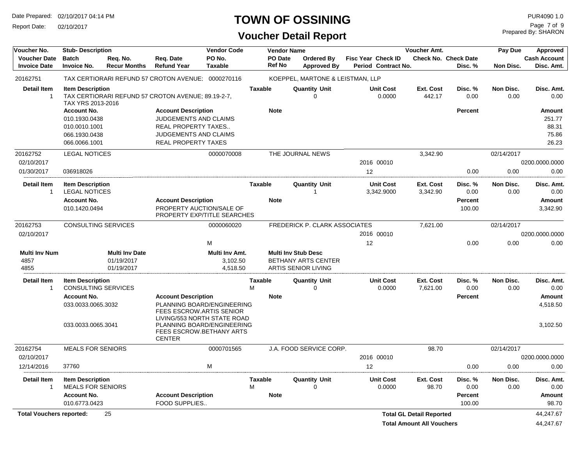Report Date: 02/10/2017

### **TOWN OF OSSINING PUR4090 1.0**

| Voucher No.                                | <b>Stub-Description</b>                                                                |                                                   |                                                                                                                                   | <b>Vendor Code</b>                     |                     | <b>Vendor Name</b>       |                                                                                        |                                           | Voucher Amt.                    |                                        | Pay Due           | Approved                                           |
|--------------------------------------------|----------------------------------------------------------------------------------------|---------------------------------------------------|-----------------------------------------------------------------------------------------------------------------------------------|----------------------------------------|---------------------|--------------------------|----------------------------------------------------------------------------------------|-------------------------------------------|---------------------------------|----------------------------------------|-------------------|----------------------------------------------------|
| <b>Voucher Date</b><br><b>Invoice Date</b> | <b>Batch</b><br><b>Invoice No.</b>                                                     | Req. No.<br><b>Recur Months</b>                   | Req. Date<br><b>Refund Year</b>                                                                                                   | PO No.<br><b>Taxable</b>               |                     | PO Date<br><b>Ref No</b> | <b>Ordered By</b><br><b>Approved By</b>                                                | Fisc Year Check ID<br>Period Contract No. |                                 | <b>Check No. Check Date</b><br>Disc. % | Non Disc.         | <b>Cash Account</b><br>Disc. Amt.                  |
| 20162751                                   |                                                                                        |                                                   | TAX CERTIORARI REFUND 57 CROTON AVENUE; 0000270116                                                                                |                                        |                     |                          | KOEPPEL, MARTONE & LEISTMAN, LLP                                                       |                                           |                                 |                                        |                   |                                                    |
| <b>Detail Item</b><br>$\overline{1}$       | <b>Item Description</b><br>TAX YRS 2013-2016                                           |                                                   | TAX CERTIORARI REFUND 57 CROTON AVENUE; 89.19-2-7,                                                                                |                                        | <b>Taxable</b>      |                          | <b>Quantity Unit</b><br>$\Omega$                                                       | <b>Unit Cost</b><br>0.0000                | Ext. Cost<br>442.17             | Disc. %<br>0.00                        | Non Disc.<br>0.00 | Disc. Amt.<br>0.00                                 |
|                                            | <b>Account No.</b><br>010.1930.0438<br>010.0010.1001<br>066.1930.0438<br>066.0066.1001 |                                                   | <b>Account Description</b><br>JUDGEMENTS AND CLAIMS<br><b>REAL PROPERTY TAXES</b><br>JUDGEMENTS AND CLAIMS<br>REAL PROPERTY TAXES |                                        |                     | <b>Note</b>              |                                                                                        |                                           |                                 | <b>Percent</b>                         |                   | <b>Amount</b><br>251.77<br>88.31<br>75.86<br>26.23 |
| 20162752                                   | <b>LEGAL NOTICES</b>                                                                   |                                                   |                                                                                                                                   | 0000070008                             |                     |                          | THE JOURNAL NEWS                                                                       |                                           | 3,342.90                        |                                        | 02/14/2017        |                                                    |
| 02/10/2017                                 |                                                                                        |                                                   |                                                                                                                                   |                                        |                     |                          |                                                                                        | 2016 00010                                |                                 |                                        |                   | 0200.0000.0000                                     |
| 01/30/2017                                 | 036918026                                                                              |                                                   |                                                                                                                                   |                                        |                     |                          |                                                                                        | 12                                        |                                 | 0.00                                   | 0.00              | 0.00                                               |
| <b>Detail Item</b><br>$\overline{1}$       | <b>Item Description</b><br><b>LEGAL NOTICES</b>                                        |                                                   |                                                                                                                                   |                                        | <b>Taxable</b>      |                          | <b>Quantity Unit</b>                                                                   | <b>Unit Cost</b><br>3,342.9000            | Ext. Cost<br>3,342.90           | Disc. %<br>0.00                        | Non Disc.<br>0.00 | Disc. Amt.<br>0.00                                 |
|                                            | <b>Account No.</b><br>010.1420.0494                                                    |                                                   | <b>Account Description</b><br>PROPERTY AUCTION/SALE OF<br>PROPERTY EXP/TITLE SEARCHES                                             |                                        |                     | <b>Note</b>              |                                                                                        |                                           |                                 | <b>Percent</b><br>100.00               |                   | Amount<br>3,342.90                                 |
| 20162753                                   | <b>CONSULTING SERVICES</b>                                                             |                                                   |                                                                                                                                   | 0000060020                             |                     |                          | <b>FREDERICK P. CLARK ASSOCIATES</b>                                                   |                                           | 7,621.00                        |                                        | 02/14/2017        |                                                    |
| 02/10/2017                                 |                                                                                        |                                                   |                                                                                                                                   |                                        |                     |                          |                                                                                        | 2016 00010                                |                                 |                                        |                   | 0200.0000.0000                                     |
|                                            |                                                                                        |                                                   |                                                                                                                                   | M                                      |                     |                          |                                                                                        | 12                                        |                                 | 0.00                                   | 0.00              | 0.00                                               |
| <b>Multi Inv Num</b><br>4857<br>4855       |                                                                                        | <b>Multi Inv Date</b><br>01/19/2017<br>01/19/2017 |                                                                                                                                   | Multi Inv Amt.<br>3,102.50<br>4,518.50 |                     |                          | <b>Multi Inv Stub Desc</b><br><b>BETHANY ARTS CENTER</b><br><b>ARTIS SENIOR LIVING</b> |                                           |                                 |                                        |                   |                                                    |
| <b>Detail Item</b><br>$\mathbf{1}$         | <b>Item Description</b><br><b>CONSULTING SERVICES</b>                                  |                                                   |                                                                                                                                   |                                        | <b>Taxable</b><br>M |                          | <b>Quantity Unit</b><br>$\Omega$                                                       | <b>Unit Cost</b><br>0.0000                | Ext. Cost<br>7,621.00           | Disc. %<br>0.00                        | Non Disc.<br>0.00 | Disc. Amt.<br>0.00                                 |
|                                            | <b>Account No.</b><br>033.0033.0065.3032                                               |                                                   | <b>Account Description</b><br>PLANNING BOARD/ENGINEERING<br><b>FEES ESCROW.ARTIS SENIOR</b>                                       |                                        |                     | <b>Note</b>              |                                                                                        |                                           |                                 | <b>Percent</b>                         |                   | Amount<br>4,518.50                                 |
|                                            | 033.0033.0065.3041                                                                     |                                                   | LIVING/553 NORTH STATE ROAD<br>PLANNING BOARD/ENGINEERING<br>FEES ESCROW.BETHANY ARTS<br><b>CENTER</b>                            |                                        |                     |                          |                                                                                        |                                           |                                 |                                        |                   | 3,102.50                                           |
| 20162754                                   | <b>MEALS FOR SENIORS</b>                                                               |                                                   |                                                                                                                                   | 0000701565                             |                     |                          | J.A. FOOD SERVICE CORP.                                                                |                                           | 98.70                           |                                        | 02/14/2017        |                                                    |
| 02/10/2017                                 |                                                                                        |                                                   |                                                                                                                                   |                                        |                     |                          |                                                                                        | 2016 00010                                |                                 |                                        |                   | 0200.0000.0000                                     |
| 12/14/2016                                 | 37760                                                                                  |                                                   |                                                                                                                                   | M                                      |                     |                          |                                                                                        | 12                                        |                                 | 0.00                                   | 0.00              | 0.00                                               |
| <b>Detail Item</b><br>$\overline{1}$       | <b>Item Description</b><br><b>MEALS FOR SENIORS</b>                                    |                                                   |                                                                                                                                   |                                        | <b>Taxable</b><br>M |                          | <b>Quantity Unit</b><br>0                                                              | <b>Unit Cost</b><br>0.0000                | Ext. Cost<br>98.70              | Disc. %<br>0.00                        | Non Disc.<br>0.00 | Disc. Amt.<br>0.00                                 |
|                                            | <b>Account No.</b><br>010.6773.0423                                                    |                                                   | <b>Account Description</b><br><b>FOOD SUPPLIES</b>                                                                                |                                        |                     | <b>Note</b>              |                                                                                        |                                           |                                 | <b>Percent</b><br>100.00               |                   | Amount<br>98.70                                    |
| <b>Total Vouchers reported:</b>            |                                                                                        | 25                                                |                                                                                                                                   |                                        |                     |                          |                                                                                        |                                           | <b>Total GL Detail Reported</b> |                                        |                   | 44,247.67                                          |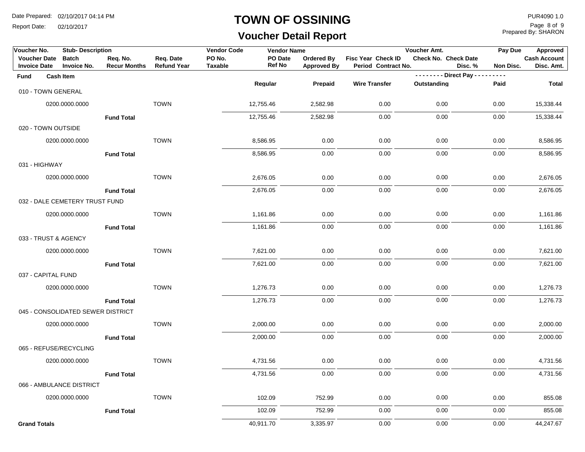Report Date: 02/10/2017

### **TOWN OF OSSINING**

## **Voucher Detail Report**

Prepared By: SHARON Page 8 of 9

| Voucher No.                                | <b>Stub-Description</b>            |                                 |                                 | <b>Vendor Code</b>       | <b>Vendor Name</b>       |                                         |                                           | Voucher Amt.            |               | Pay Due<br>Approved                            |
|--------------------------------------------|------------------------------------|---------------------------------|---------------------------------|--------------------------|--------------------------|-----------------------------------------|-------------------------------------------|-------------------------|---------------|------------------------------------------------|
| <b>Voucher Date</b><br><b>Invoice Date</b> | <b>Batch</b><br><b>Invoice No.</b> | Req. No.<br><b>Recur Months</b> | Req. Date<br><b>Refund Year</b> | PO No.<br><b>Taxable</b> | PO Date<br><b>Ref No</b> | <b>Ordered By</b><br><b>Approved By</b> | Fisc Year Check ID<br>Period Contract No. | Check No. Check Date    | Disc. %       | <b>Cash Account</b><br>Non Disc.<br>Disc. Amt. |
| Fund                                       | <b>Cash Item</b>                   |                                 |                                 |                          |                          |                                         |                                           | -------- Direct Pay --- | $\frac{1}{2}$ |                                                |
| 010 - TOWN GENERAL                         |                                    |                                 |                                 |                          | Regular                  | Prepaid                                 | <b>Wire Transfer</b>                      | Outstanding             | Paid          | <b>Total</b>                                   |
|                                            | 0200.0000.0000                     |                                 | <b>TOWN</b>                     |                          | 12,755.46                | 2,582.98                                | 0.00                                      | 0.00                    | 0.00          | 15,338.44                                      |
|                                            |                                    | <b>Fund Total</b>               |                                 |                          | 12,755.46                | 2,582.98                                | 0.00                                      | 0.00                    | 0.00          | 15,338.44                                      |
| 020 - TOWN OUTSIDE                         |                                    |                                 |                                 |                          |                          |                                         |                                           |                         |               |                                                |
|                                            | 0200.0000.0000                     |                                 | <b>TOWN</b>                     |                          | 8,586.95                 | 0.00                                    | 0.00                                      | 0.00                    | 0.00          | 8,586.95                                       |
|                                            |                                    | <b>Fund Total</b>               |                                 |                          | 8,586.95                 | 0.00                                    | 0.00                                      | 0.00                    | 0.00          | 8,586.95                                       |
| 031 - HIGHWAY                              |                                    |                                 |                                 |                          |                          |                                         |                                           |                         |               |                                                |
|                                            | 0200.0000.0000                     |                                 | <b>TOWN</b>                     |                          | 2,676.05                 | 0.00                                    | 0.00                                      | 0.00                    | 0.00          | 2,676.05                                       |
|                                            |                                    | <b>Fund Total</b>               |                                 |                          | 2,676.05                 | 0.00                                    | 0.00                                      | 0.00                    | 0.00          | 2,676.05                                       |
|                                            | 032 - DALE CEMETERY TRUST FUND     |                                 |                                 |                          |                          |                                         |                                           |                         |               |                                                |
|                                            | 0200.0000.0000                     |                                 | <b>TOWN</b>                     |                          | 1,161.86                 | 0.00                                    | 0.00                                      | 0.00                    | 0.00          | 1,161.86                                       |
|                                            |                                    | <b>Fund Total</b>               |                                 |                          | 1,161.86                 | 0.00                                    | 0.00                                      | 0.00                    | 0.00          | 1,161.86                                       |
| 033 - TRUST & AGENCY                       |                                    |                                 |                                 |                          |                          |                                         |                                           |                         |               |                                                |
|                                            | 0200.0000.0000                     |                                 | <b>TOWN</b>                     |                          | 7,621.00                 | 0.00                                    | 0.00                                      | 0.00                    | 0.00          | 7,621.00                                       |
|                                            |                                    | <b>Fund Total</b>               |                                 |                          | 7,621.00                 | 0.00                                    | 0.00                                      | 0.00                    | 0.00          | 7,621.00                                       |
| 037 - CAPITAL FUND                         |                                    |                                 |                                 |                          |                          |                                         |                                           |                         |               |                                                |
|                                            | 0200.0000.0000                     |                                 | <b>TOWN</b>                     |                          | 1,276.73                 | 0.00                                    | 0.00                                      | 0.00                    | 0.00          | 1,276.73                                       |
|                                            |                                    | <b>Fund Total</b>               |                                 |                          | 1,276.73                 | 0.00                                    | 0.00                                      | 0.00                    | 0.00          | 1,276.73                                       |
|                                            | 045 - CONSOLIDATED SEWER DISTRICT  |                                 |                                 |                          |                          |                                         |                                           |                         |               |                                                |
|                                            | 0200.0000.0000                     |                                 | <b>TOWN</b>                     |                          | 2,000.00                 | 0.00                                    | 0.00                                      | 0.00                    | 0.00          | 2,000.00                                       |
|                                            |                                    | <b>Fund Total</b>               |                                 |                          | 2,000.00                 | 0.00                                    | 0.00                                      | 0.00                    | 0.00          | 2,000.00                                       |
|                                            | 065 - REFUSE/RECYCLING             |                                 |                                 |                          |                          |                                         |                                           |                         |               |                                                |
|                                            | 0200.0000.0000                     |                                 | <b>TOWN</b>                     |                          | 4,731.56                 | 0.00                                    | 0.00                                      | 0.00                    | 0.00          | 4,731.56                                       |
|                                            |                                    | <b>Fund Total</b>               |                                 |                          | 4,731.56                 | 0.00                                    | 0.00                                      | 0.00                    | 0.00          | 4,731.56                                       |
|                                            | 066 - AMBULANCE DISTRICT           |                                 |                                 |                          |                          |                                         |                                           |                         |               |                                                |
|                                            | 0200.0000.0000                     |                                 | <b>TOWN</b>                     |                          | 102.09                   | 752.99                                  | 0.00                                      | 0.00                    | 0.00          | 855.08                                         |
|                                            |                                    | <b>Fund Total</b>               |                                 |                          | 102.09                   | 752.99                                  | 0.00                                      | 0.00                    | 0.00          | 855.08                                         |
| <b>Grand Totals</b>                        |                                    |                                 |                                 |                          | 40,911.70                | 3,335.97                                | 0.00                                      | 0.00                    | 0.00          | 44,247.67                                      |